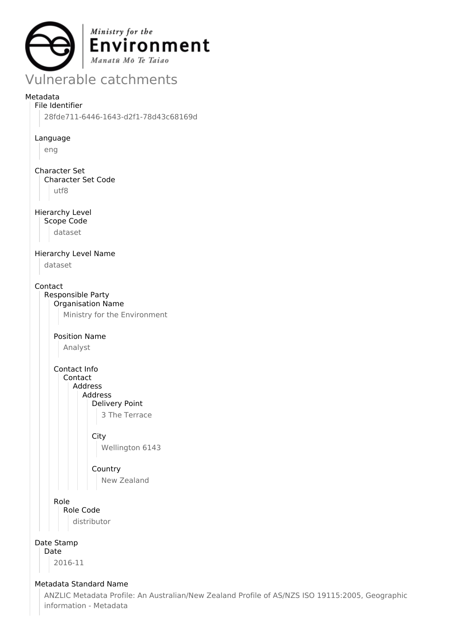

# Vulnerable catchments

### Metadata

File Identifier 28fde711-6446-1643-d2f1-78d43c68169d

#### Language

eng

#### Character Set Character Set Code

utf8

### Hierarchy Level

Scope Code

dataset

#### Hierarchy Level Name

dataset

#### Contact

Responsible Party Organisation Name Ministry for the Environment

## Position Name

Analyst

Contact Info Contact Address Address Delivery Point 3 The Terrace

### **City**

Wellington 6143

## **Country**

New Zealand

#### Role

Role Code distributor

# Date Stamp

Date

2016-11

#### Metadata Standard Name

ANZLIC Metadata Profile: An Australian/New Zealand Profile of AS/NZS ISO 19115:2005, Geographic information - Metadata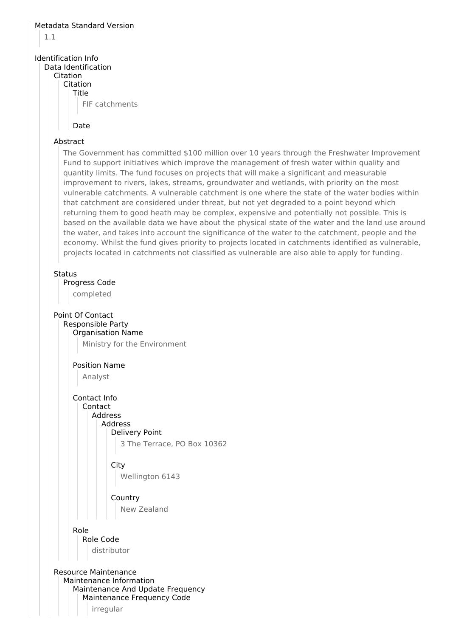#### Metadata Standard Version

1.1

### Identification Info

#### Data Identification

Citation

#### Citation Title

FIF catchments

#### Date

#### Abstract

The Government has committed \$100 million over 10 years through the Freshwater Improvement Fund to support initiatives which improve the management of fresh water within quality and quantity limits. The fund focuses on projects that will make a significant and measurable improvement to rivers, lakes, streams, groundwater and wetlands, with priority on the most vulnerable catchments. A vulnerable catchment is one where the state of the water bodies within that catchment are considered under threat, but not yet degraded to a point beyond which returning them to good heath may be complex, expensive and potentially not possible. This is based on the available data we have about the physical state of the water and the land use around the water, and takes into account the significance of the water to the catchment, people and the economy. Whilst the fund gives priority to projects located in catchments identified as vulnerable, projects located in catchments not classified as vulnerable are also able to apply for funding.

#### **Status**

Progress Code

completed

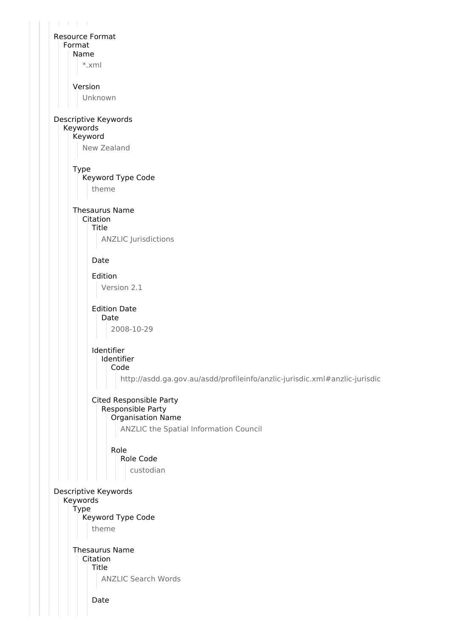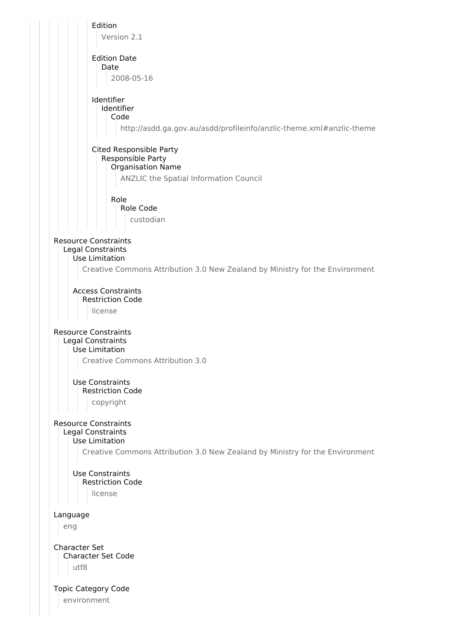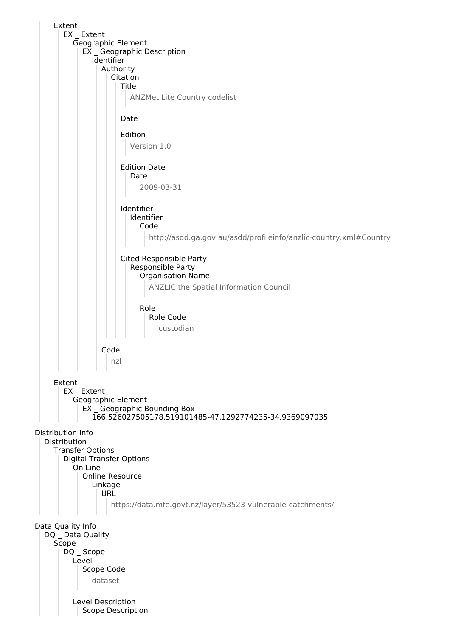